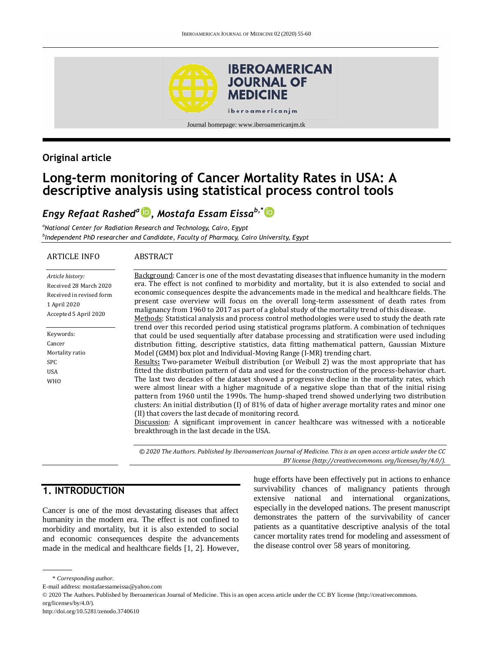

## **Original article**

## **Long-term monitoring of Cancer Mortality Rates in USA: A descriptive analysis using statistical process control tools**

## *Engy Refaat Rashed<sup>a</sup> [,](http://orcid.org/0000-0002-6593-378X) Mostafa Essam Eissab,\**

*<sup>a</sup>National Center for Radiation Research and Technology, Cairo, Egypt b Independent PhD researcher and Candidate, Faculty of Pharmacy, Cairo University, Egypt*

#### ARTICLE INFO

#### **ABSTRACT**

| Article history:         | Background: Cancer is one of the most devastating diseases that influence humanity in the modern                                                                                                      |
|--------------------------|-------------------------------------------------------------------------------------------------------------------------------------------------------------------------------------------------------|
| Received 28 March 2020   | era. The effect is not confined to morbidity and mortality, but it is also extended to social and                                                                                                     |
| Received in revised form | economic consequences despite the advancements made in the medical and healthcare fields. The                                                                                                         |
| 1 April 2020             | present case overview will focus on the overall long-term assessment of death rates from                                                                                                              |
| Accepted 5 April 2020    | malignancy from 1960 to 2017 as part of a global study of the mortality trend of this disease.                                                                                                        |
|                          | Methods: Statistical analysis and process control methodologies were used to study the death rate<br>trend over this recorded period using statistical programs platform. A combination of techniques |
| Keywords:                | that could be used sequentially after database processing and stratification were used including                                                                                                      |
| Cancer                   | distribution fitting, descriptive statistics, data fitting mathematical pattern, Gaussian Mixture                                                                                                     |
| Mortality ratio          | Model (GMM) box plot and Individual-Moving Range (I-MR) trending chart.                                                                                                                               |
| <b>SPC</b>               | Results: Two-parameter Weibull distribution (or Weibull 2) was the most appropriate that has                                                                                                          |
| <b>USA</b>               | fitted the distribution pattern of data and used for the construction of the process-behavior chart.                                                                                                  |
| <b>WHO</b>               | The last two decades of the dataset showed a progressive decline in the mortality rates, which                                                                                                        |
|                          | were almost linear with a higher magnitude of a negative slope than that of the initial rising                                                                                                        |
|                          | pattern from 1960 until the 1990s. The hump-shaped trend showed underlying two distribution                                                                                                           |
|                          | clusters: An initial distribution (I) of 81% of data of higher average mortality rates and minor one                                                                                                  |
|                          | (II) that covers the last decade of monitoring record.                                                                                                                                                |
|                          | Discussion: A significant improvement in cancer healthcare was witnessed with a noticeable                                                                                                            |
|                          | breakthrough in the last decade in the USA.                                                                                                                                                           |
|                          |                                                                                                                                                                                                       |
|                          | © 2020 The Authors. Published by Iberoamerican Journal of Medicine. This is an open access article under the CC                                                                                       |

# **1. INTRODUCTION**

Cancer is one of the most devastating diseases that affect humanity in the modern era. The effect is not confined to morbidity and mortality, but it is also extended to social and economic consequences despite the advancements made in the medical and healthcare fields [1, 2]. However, huge efforts have been effectively put in actions to enhance survivability chances of malignancy patients through extensive national and international organizations, especially in the developed nations. The present manuscript demonstrates the pattern of the survivability of cancer patients as a quantitative descriptive analysis of the total cancer mortality rates trend for modeling and assessment of the disease control over 58 years of monitoring.

*BY license (http:/[/creativecommons. org/licenses/by/4.0/\)](https://creativecommons.org/licenses/by/4.0/).*

E-mail address: mostafaessameissa@yahoo.com

<sup>\*</sup> *Corresponding author.*

<sup>© 2020</sup> The Authors. Published by Iberoamerican Journal of Medicine. This is an open access article under the CC BY license (http://creativecommons. org/licenses/by/4.0/).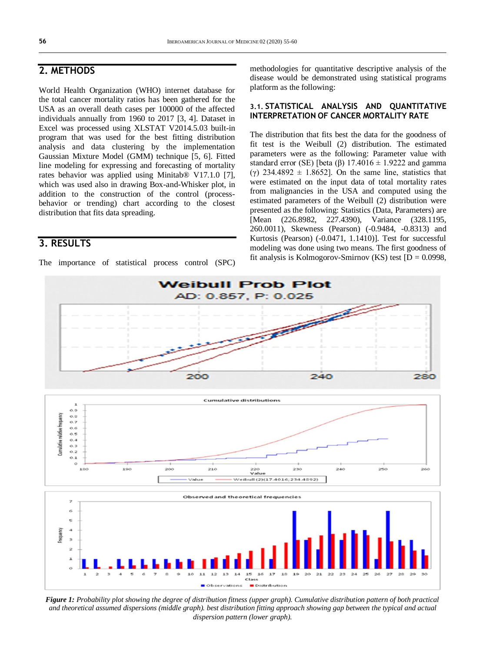## **2. METHODS**

World Health Organization (WHO) internet database for the total cancer mortality ratios has been gathered for the USA as an overall death cases per 100000 of the affected individuals annually from 1960 to 2017 [3, 4]. Dataset in Excel was processed using XLSTAT V2014.5.03 built-in program that was used for the best fitting distribution analysis and data clustering by the implementation Gaussian Mixture Model (GMM) technique [5, 6]. Fitted line modeling for expressing and forecasting of mortality rates behavior was applied using Minitab® V17.1.0 [7], which was used also in drawing Box-and-Whisker plot, in addition to the construction of the control (processbehavior or trending) chart according to the closest distribution that fits data spreading.

## **3. RESULTS**

The importance of statistical process control (SPC)

methodologies for quantitative descriptive analysis of the disease would be demonstrated using statistical programs platform as the following:

#### **3.1. STATISTICAL ANALYSIS AND QUANTITATIVE INTERPRETATION OF CANCER MORTALITY RATE**

The distribution that fits best the data for the goodness of fit test is the Weibull (2) distribution. The estimated parameters were as the following: Parameter value with standard error (SE) [beta (β) 17.4016  $\pm$  1.9222 and gamma (γ) 234.4892 ± 1.8652]. On the same line, statistics that were estimated on the input data of total mortality rates from malignancies in the USA and computed using the estimated parameters of the Weibull (2) distribution were presented as the following: Statistics (Data, Parameters) are [Mean (226.8982, 227.4390), Variance (328.1195, 260.0011), Skewness (Pearson) (-0.9484, -0.8313) and Kurtosis (Pearson) (-0.0471, 1.1410)]. Test for successful modeling was done using two means. The first goodness of fit analysis is Kolmogorov-Smirnov (KS) test  $[D = 0.0998,$ 



*Figure 1: Probability plot showing the degree of distribution fitness (upper graph). Cumulative distribution pattern of both practical and theoretical assumed dispersions (middle graph). best distribution fitting approach showing gap between the typical and actual dispersion pattern (lower graph).*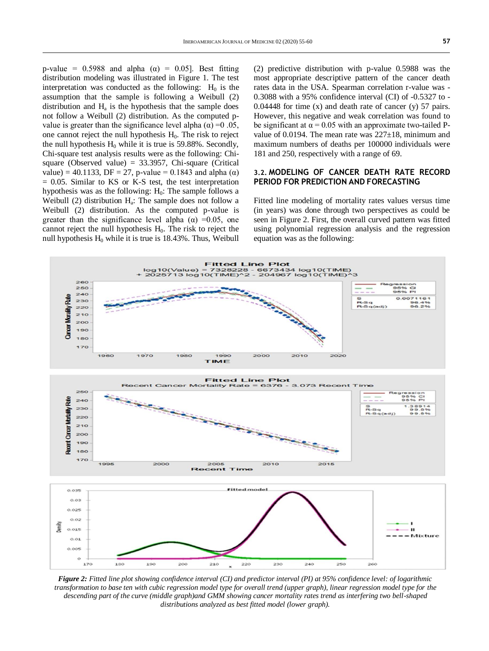p-value = 0.5988 and alpha ( $\alpha$ ) = 0.05]. Best fitting distribution modeling was illustrated in Figure 1. The test interpretation was conducted as the following:  $H_0$  is the assumption that the sample is following a Weibull (2) distribution and  $H<sub>a</sub>$  is the hypothesis that the sample does not follow a Weibull (2) distribution. As the computed pvalue is greater than the significance level alpha (α) = 0.05, one cannot reject the null hypothesis  $H<sub>0</sub>$ . The risk to reject the null hypothesis  $H_0$  while it is true is 59.88%. Secondly, Chi-square test analysis results were as the following: Chisquare (Observed value) =  $33.3957$ , Chi-square (Critical value) = 40.1133, DF = 27, p-value = 0.1843 and alpha (α)  $= 0.05$ . Similar to KS or K-S test, the test interpretation hypothesis was as the following:  $H_0$ : The sample follows a Weibull  $(2)$  distribution  $H_a$ : The sample does not follow a Weibull (2) distribution. As the computed p-value is greater than the significance level alpha ( $\alpha$ ) =0.05, one cannot reject the null hypothesis  $H_0$ . The risk to reject the null hypothesis  $H_0$  while it is true is 18.43%. Thus, Weibull

(2) predictive distribution with p-value 0.5988 was the most appropriate descriptive pattern of the cancer death rates data in the USA. Spearman correlation r-value was - 0.3088 with a 95% confidence interval (CI) of -0.5327 to - 0.04448 for time  $(x)$  and death rate of cancer  $(y)$  57 pairs. However, this negative and weak correlation was found to be significant at  $\alpha = 0.05$  with an approximate two-tailed Pvalue of 0.0194. The mean rate was  $227\pm18$ , minimum and maximum numbers of deaths per 100000 individuals were 181 and 250, respectively with a range of 69.

#### **3.2. MODELING OF CANCER DEATH RATE RECORD PERIOD FOR PREDICTION AND FORECASTING**

Fitted line modeling of mortality rates values versus time (in years) was done through two perspectives as could be seen in Figure 2. First, the overall curved pattern was fitted using polynomial regression analysis and the regression equation was as the following:



*Figure 2: Fitted line plot showing confidence interval (CI) and predictor interval (PI) at 95% confidence level: of logarithmic transformation to base ten with cubic regression model type for overall trend (upper graph), linear regression model type for the descending part of the curve (middle graph)and GMM showing cancer mortality rates trend as interfering two bell-shaped distributions analyzed as best fitted model (lower graph).*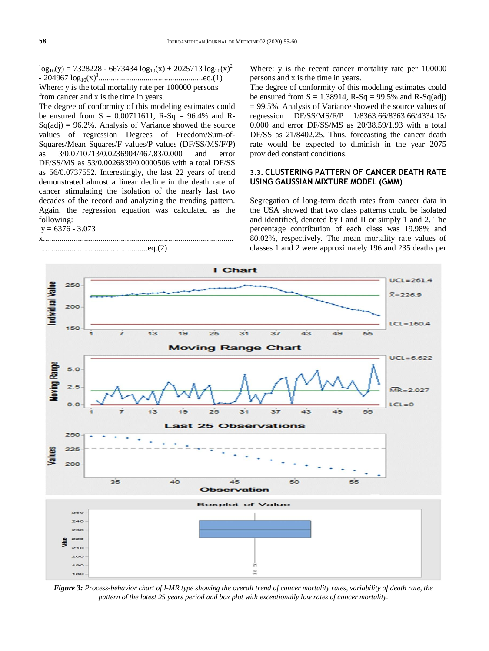$\log_{10}(y) = 7328228 - 6673434 \log_{10}(x) + 2025713 \log_{10}(x)^2$ - 204967 log10(x)<sup>3</sup> ...................................................eq.(1) Where: y is the total mortality rate per 100000 persons from cancer and x is the time in years.

The degree of conformity of this modeling estimates could be ensured from  $S = 0.00711611$ , R-Sq = 96.4% and R- $Sq(\text{adj}) = 96.2\%$ . Analysis of Variance showed the source values of regression Degrees of Freedom/Sum-of-Squares/Mean Squares/F values/P values (DF/SS/MS/F/P) as 3/0.0710713/0.0236904/467.83/0.000 and error DF/SS/MS as 53/0.0026839/0.0000506 with a total DF/SS as 56/0.0737552. Interestingly, the last 22 years of trend demonstrated almost a linear decline in the death rate of cancer stimulating the isolation of the nearly last two decades of the record and analyzing the trending pattern. Again, the regression equation was calculated as the following:

#### $y = 6376 - 3.073$

#### x............................................................................................. .....................................................eq.(2)

Where: y is the recent cancer mortality rate per 100000 persons and x is the time in years.

The degree of conformity of this modeling estimates could be ensured from  $S = 1.38914$ ,  $R-Sq = 99.5%$  and  $R-Sq(adj)$  $= 99.5\%$ . Analysis of Variance showed the source values of regression DF/SS/MS/F/P 1/8363.66/8363.66/4334.15/ 0.000 and error DF/SS/MS as 20/38.59/1.93 with a total DF/SS as 21/8402.25. Thus, forecasting the cancer death rate would be expected to diminish in the year 2075 provided constant conditions.

#### **3.3. CLUSTERING PATTERN OF CANCER DEATH RATE USING GAUSSIAN MIXTURE MODEL (GMM)**

Segregation of long-term death rates from cancer data in the USA showed that two class patterns could be isolated and identified, denoted by I and II or simply 1 and 2. The percentage contribution of each class was 19.98% and 80.02%, respectively. The mean mortality rate values of classes 1 and 2 were approximately 196 and 235 deaths per



*Figure 3: Process-behavior chart of I-MR type showing the overall trend of cancer mortality rates, variability of death rate, the pattern of the latest 25 years period and box plot with exceptionally low rates of cancer mortality.*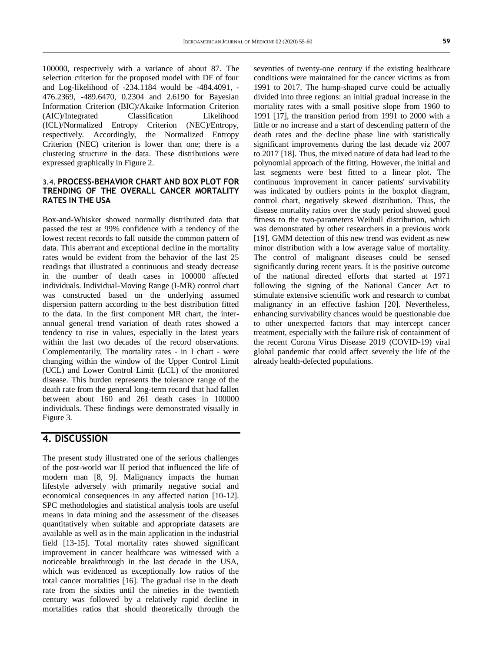100000, respectively with a variance of about 87. The selection criterion for the proposed model with DF of four and Log-likelihood of -234.1184 would be -484.4091, - 476.2369, -489.6470, 0.2304 and 2.6190 for Bayesian Information Criterion (BIC)/Akaike Information Criterion (AIC)/Integrated Classification Likelihood (ICL)/Normalized Entropy Criterion (NEC)/Entropy, respectively. Accordingly, the Normalized Entropy Criterion (NEC) criterion is lower than one; there is a clustering structure in the data. These distributions were expressed graphically in Figure 2.

#### **3.4. PROCESS-BEHAVIOR CHART AND BOX PLOT FOR TRENDING OF THE OVERALL CANCER MORTALITY RATES IN THE USA**

Box-and-Whisker showed normally distributed data that passed the test at 99% confidence with a tendency of the lowest recent records to fall outside the common pattern of data. This aberrant and exceptional decline in the mortality rates would be evident from the behavior of the last 25 readings that illustrated a continuous and steady decrease in the number of death cases in 100000 affected individuals. Individual-Moving Range (I-MR) control chart was constructed based on the underlying assumed dispersion pattern according to the best distribution fitted to the data. In the first component MR chart, the interannual general trend variation of death rates showed a tendency to rise in values, especially in the latest years within the last two decades of the record observations. Complementarily, The mortality rates - in I chart - were changing within the window of the Upper Control Limit (UCL) and Lower Control Limit (LCL) of the monitored disease. This burden represents the tolerance range of the death rate from the general long-term record that had fallen between about 160 and 261 death cases in 100000 individuals. These findings were demonstrated visually in Figure 3.

## **4. DISCUSSION**

The present study illustrated one of the serious challenges of the post-world war II period that influenced the life of modern man [8, 9]. Malignancy impacts the human lifestyle adversely with primarily negative social and economical consequences in any affected nation [10-12]. SPC methodologies and statistical analysis tools are useful means in data mining and the assessment of the diseases quantitatively when suitable and appropriate datasets are available as well as in the main application in the industrial field [13-15]. Total mortality rates showed significant improvement in cancer healthcare was witnessed with a noticeable breakthrough in the last decade in the USA, which was evidenced as exceptionally low ratios of the total cancer mortalities [16]. The gradual rise in the death rate from the sixties until the nineties in the twentieth century was followed by a relatively rapid decline in mortalities ratios that should theoretically through the

seventies of twenty-one century if the existing healthcare conditions were maintained for the cancer victims as from 1991 to 2017. The hump-shaped curve could be actually divided into three regions: an initial gradual increase in the mortality rates with a small positive slope from 1960 to 1991 [17], the transition period from 1991 to 2000 with a little or no increase and a start of descending pattern of the death rates and the decline phase line with statistically significant improvements during the last decade viz 2007 to 2017 [18]. Thus, the mixed nature of data had lead to the polynomial approach of the fitting. However, the initial and last segments were best fitted to a linear plot. The continuous improvement in cancer patients' survivability was indicated by outliers points in the boxplot diagram, control chart, negatively skewed distribution. Thus, the disease mortality ratios over the study period showed good fitness to the two-parameters Weibull distribution, which was demonstrated by other researchers in a previous work [19]. GMM detection of this new trend was evident as new minor distribution with a low average value of mortality. The control of malignant diseases could be sensed significantly during recent years. It is the positive outcome of the national directed efforts that started at 1971 following the signing of the National Cancer Act to stimulate extensive scientific work and research to combat malignancy in an effective fashion [20]. Nevertheless, enhancing survivability chances would be questionable due to other unexpected factors that may intercept cancer treatment, especially with the failure risk of containment of the recent Corona Virus Disease 2019 (COVID-19) viral global pandemic that could affect severely the life of the already health-defected populations.